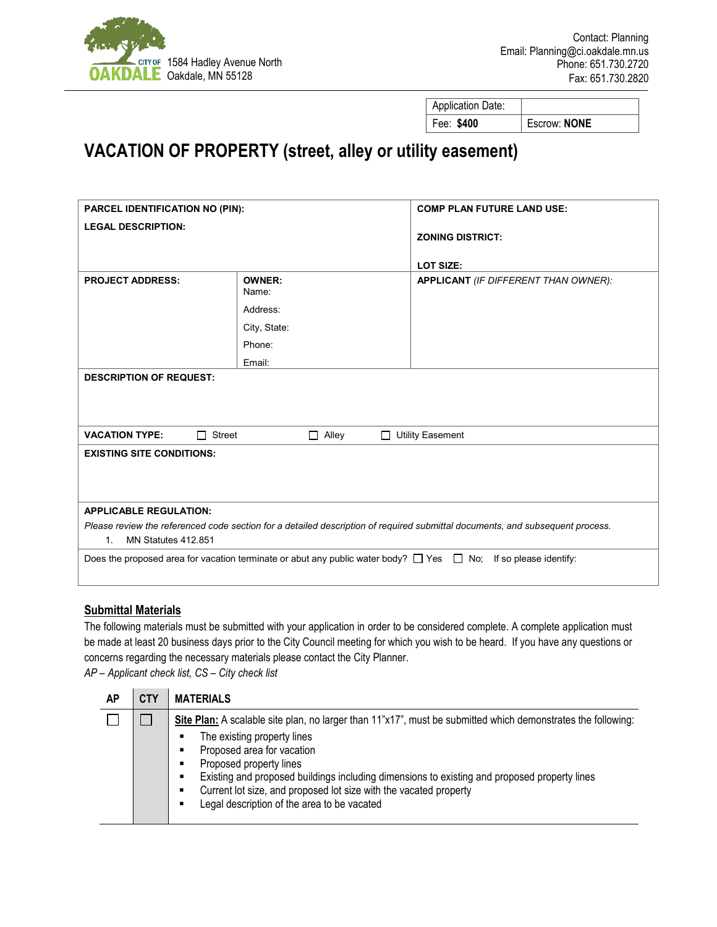

Application Date: Fee: **\$400** Escrow: **NONE**

## **VACATION OF PROPERTY (street, alley or utility easement)**

| PARCEL IDENTIFICATION NO (PIN):                                                                                               |                        | <b>COMP PLAN FUTURE LAND USE:</b>    |  |  |  |
|-------------------------------------------------------------------------------------------------------------------------------|------------------------|--------------------------------------|--|--|--|
| <b>LEGAL DESCRIPTION:</b>                                                                                                     |                        | <b>ZONING DISTRICT:</b>              |  |  |  |
|                                                                                                                               |                        |                                      |  |  |  |
|                                                                                                                               |                        | <b>LOT SIZE:</b>                     |  |  |  |
| <b>PROJECT ADDRESS:</b>                                                                                                       | <b>OWNER:</b><br>Name: | APPLICANT (IF DIFFERENT THAN OWNER): |  |  |  |
|                                                                                                                               | Address:               |                                      |  |  |  |
|                                                                                                                               | City, State:           |                                      |  |  |  |
|                                                                                                                               | Phone:                 |                                      |  |  |  |
|                                                                                                                               | Email:                 |                                      |  |  |  |
| <b>DESCRIPTION OF REQUEST:</b>                                                                                                |                        |                                      |  |  |  |
|                                                                                                                               |                        |                                      |  |  |  |
|                                                                                                                               |                        |                                      |  |  |  |
| <b>VACATION TYPE:</b><br>Street<br>П                                                                                          | Alley<br>П<br>$\Box$   | <b>Utility Easement</b>              |  |  |  |
| <b>EXISTING SITE CONDITIONS:</b>                                                                                              |                        |                                      |  |  |  |
|                                                                                                                               |                        |                                      |  |  |  |
|                                                                                                                               |                        |                                      |  |  |  |
| <b>APPLICABLE REGULATION:</b>                                                                                                 |                        |                                      |  |  |  |
| Please review the referenced code section for a detailed description of required submittal documents, and subsequent process. |                        |                                      |  |  |  |
| MN Statutes 412.851<br>$1_{-}$                                                                                                |                        |                                      |  |  |  |
| Does the proposed area for vacation terminate or abut any public water body? $\Box$ Yes $\Box$ No; If so please identify:     |                        |                                      |  |  |  |
|                                                                                                                               |                        |                                      |  |  |  |

## **Submittal Materials**

The following materials must be submitted with your application in order to be considered complete. A complete application must be made at least 20 business days prior to the City Council meeting for which you wish to be heard. If you have any questions or concerns regarding the necessary materials please contact the City Planner.

*AP – Applicant check list, CS – City check list*

| AP | <b>CTY</b> | <b>MATERIALS</b>                                                                                                                                                                                                                                                                                                                                                                                                                                       |
|----|------------|--------------------------------------------------------------------------------------------------------------------------------------------------------------------------------------------------------------------------------------------------------------------------------------------------------------------------------------------------------------------------------------------------------------------------------------------------------|
|    |            | Site Plan: A scalable site plan, no larger than 11"x17", must be submitted which demonstrates the following:<br>The existing property lines<br>٠<br>Proposed area for vacation<br>٠<br>Proposed property lines<br>٠<br>Existing and proposed buildings including dimensions to existing and proposed property lines<br>٠<br>Current lot size, and proposed lot size with the vacated property<br>٠<br>Legal description of the area to be vacated<br>٠ |
|    |            |                                                                                                                                                                                                                                                                                                                                                                                                                                                        |